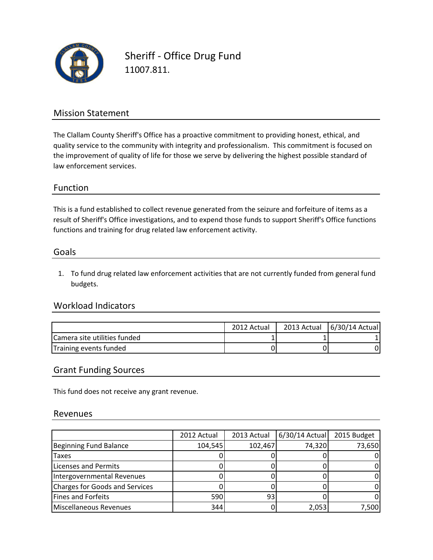

Sheriff - Office Drug Fund 11007.811.

### Mission Statement

The Clallam County Sheriff's Office has a proactive commitment to providing honest, ethical, and quality service to the community with integrity and professionalism. This commitment is focused on the improvement of quality of life for those we serve by delivering the highest possible standard of law enforcement services.

### Function

This is a fund established to collect revenue generated from the seizure and forfeiture of items as a functions and training for drug related law enforcement activity. result of Sheriff's Office investigations, and to expend those funds to support Sheriff's Office functions

#### Goals

1. To fund drug related law enforcement activities that are not currently funded from general fund budgets.

### Workload Indicators

|                              | 2012 Actual | 2013 Actual   6/30/14 Actual |
|------------------------------|-------------|------------------------------|
| Camera site utilities funded |             |                              |
| Training events funded       |             |                              |

### Grant Funding Sources

This fund does not receive any grant revenue.

#### Revenues

|                                | 2012 Actual | 2013 Actual | 6/30/14 Actual | 2015 Budget |
|--------------------------------|-------------|-------------|----------------|-------------|
| Beginning Fund Balance         | 104,545     | 102,467     | 74,320         | 73,650      |
| <b>Taxes</b>                   |             |             |                |             |
| Licenses and Permits           |             |             |                |             |
| Intergovernmental Revenues     |             |             |                |             |
| Charges for Goods and Services |             |             |                |             |
| Fines and Forfeits             | 590         | 931         |                |             |
| Miscellaneous Revenues         | 344         |             | 2,053          | 7,500       |